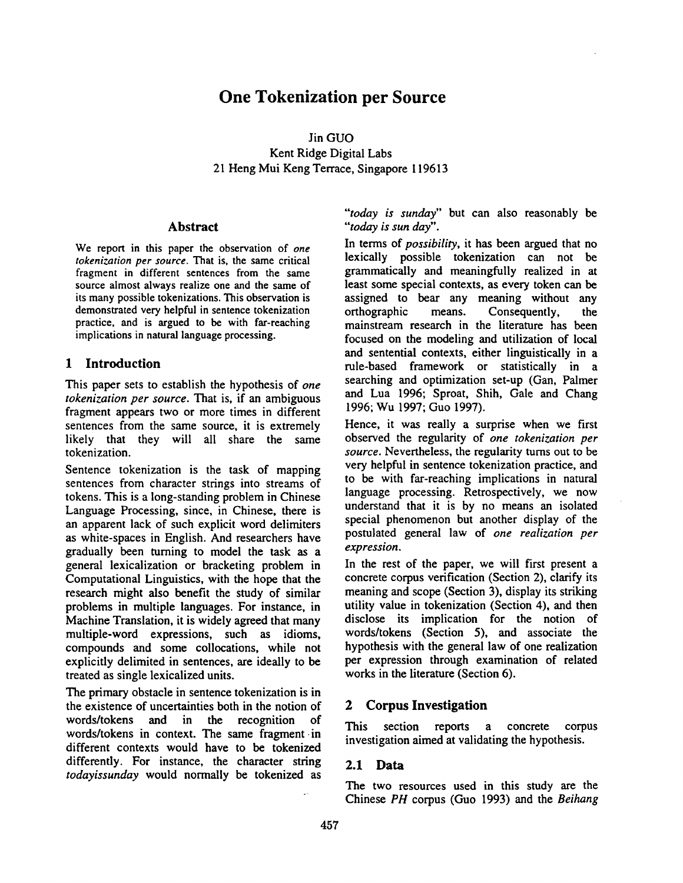# **One Tokenization per Source**

Jin GUO Kent Ridge Digital Labs 21 Heng Mui Keng Terrace, Singapore 119613

#### **Abstract**

We report in this paper the observation of *one tokenization per source.* That is, the same critical fragment in different sentences from the same source almost always realize one and the same of its many possible tokenizations. This observation is demonstrated very helpful in sentence tokenization practice, and is argued to be with far-reaching implications in natural language processing.

# **1 Introduction**

This paper sets to establish the hypothesis of *one tokenization per source.* That is, if an ambiguous fragment appears two or more times in different sentences from the same source, it is extremely likely that they will all share the same tokenization.

Sentence tokenization is the task of mapping sentences from character strings into streams of tokens. This is a long-standing problem in Chinese Language Processing, since, in Chinese, there is an apparent lack of such explicit word delimiters as white-spaces in English. And researchers have gradually been turning to model the task as a general lexicalization or bracketing problem in Computational Linguistics, with the hope that the research might also benefit the study of similar problems in multiple languages. For instance, in Machine Translation, it is widely agreed that many multiple-word expressions, such as idioms, compounds and some collocations, while not explicitly delimited in sentences, are ideally to be treated as single lexicalized units.

The primary obstacle in sentence tokenization is in the existence of uncertainties both in the notion of words/tokens and in the recognition of words/tokens in context. The same fragment-in different contexts would have to be tokenized differently. For instance, the character string *todayissunday* would normally be tokenized as

*"'today is sunday"* but can also reasonably be *"'today is sun day".* 

In terms of *possibility,* it has been argued that no lexically possible tokenization can not be grammatically and meaningfully realized in at least some special contexts, as every token can be assigned to bear any meaning without any orthographic means. Consequently, the mainstream research in the literature has been focused on the modeling and utilization of local and sentential contexts, either linguistically in a rule-based framework or statistically in a searching and optimization set-up (Gan, Palmer and Lua 1996; Sproat, Shih, Gale and Chang 1996; Wu 1997; Guo 1997).

Hence, it was really a surprise when we first observed the regularity of *one tokenization per source.* Nevertheless, the regularity turns out to be very helpful in sentence tokenization practice, and to be with far-reaching implications in natural language processing. Retrospectively, we now understand that it is by no means an isolated special phenomenon but another display of the postulated general law of *one realization per expression.* 

In the rest of the paper, we will first present a concrete corpus verification (Section 2), clarify its meaning and scope (Section 3), display its striking utility value in tokenization (Section 4), and then disclose its implication for the notion of words/tokens (Section 5), and associate the hypothesis with the general law of one realization per expression through examination of related works in the literature (Section 6).

# **2 Corpus Investigation**

This section reports a concrete corpus investigation aimed at validating the hypothesis.

# **2.1 Data**

The two resources used in this study are the Chinese *PH* corpus (Guo 1993) and the *Beihang*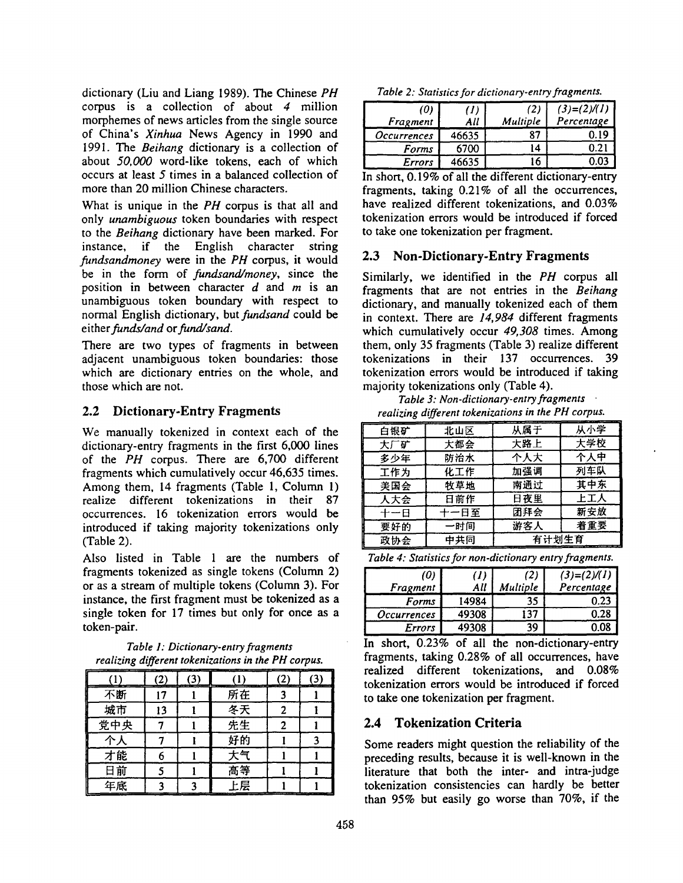dictionary (Liu and Liang 1989). The Chinese *PH*  corpus is a collection of about  $4$  million morphemes of news articles from the single source of China's *Xinhua* News Agency in 1990 and 1991. The *Beihang* dictionary is a collection of about *50,000* word-like tokens, each of which occurs at least 5 times in a balanced collection of more than 20 million Chinese characters.

What is unique in the *PH* corpus is that all and only *unambiguous* token boundaries with respect to the *Beihang* dictionary have been marked. For instance, if the English character string *fundsandmoney* were in the *PH* corpus, it would be in the form of *fundsand/money,* since the position in between character  $d$  and  $m$  is an unambiguous token boundary with respect to normal English dictionary, but *fundsand* could be *either funds/and or fund/sand.* 

There are two types of fragments in between adjacent unambiguous token boundaries: those which are dictionary entries on the whole, and those which are not.

# **2.2** Dictionary-Entry Fragments

We manually tokenized in context each of the dictionary-entry fragments in the first 6,000 lines of the *PH* corpus. There are 6,700 different fragments which cumulatively occur 46,635 times. Among them, 14 fragments (Table 1, Column 1) realize different tokenizations in their 87 occurrences. 16 tokenization errors would be introduced if taking majority tokenizations only (Table 2).

Also listed in Table 1 are the numbers of fragments tokenized as single tokens (Column 2) or as a stream of multiple tokens (Column 3). For instance, the first fragment must be tokenized as a single token for 17 times but only for once as a token-pair.

*Table 1: Dictionary-entry fragments realizing different tokenizations in the PH corpus.* 

| 不断  |  | 所在 |  |
|-----|--|----|--|
| 城市  |  | 冬天 |  |
| 党中央 |  | 先生 |  |
|     |  | 好的 |  |
| 才能  |  | 天气 |  |
| 日前  |  | 高等 |  |
| 年底  |  | 七层 |  |

*Table 2: Statistics for dictionary-entry fragments.* 

| (0)                | 'N    | (2)      | $(3)=(2)/(1)$ |
|--------------------|-------|----------|---------------|
| Fragment           | All   | Multiple | Percentage    |
| <i>Occurrences</i> | 46635 | 87       | 0.19          |
| Forms              | 6700  | 14       | 0.2           |
| Errors             | 46635 |          |               |

In short, 0.19% of all the different dictionary-entry fragments, taking 0.21% of all the occurrences, have realized different tokenizations, and 0.03% tokenization errors would be introduced if forced to take one tokenization per fragment.

# 2.3 Non-Dictionary-Entry Fragments

Similarly, we identified in the *PH* corpus all fragments that are not entries in the *Beihang*  dictionary, and manually tokenized each of them in context. There are *14,984* different fragments which cumulatively occur *49,308* times. Among them, only 35 fragments (Table 3) realize different tokenizations in their 137 occurrences. 39 tokenization errors would be introduced if taking majority tokenizations only (Table 4).

*Table 3: Non-dictionary-entry fragments realizing different tokenizations in the PH corpus.* 

| 白银矿 | 北山区  | 从属于   | 从小学 |
|-----|------|-------|-----|
| 大厂矿 | 大都会  | 大路上   | 大学校 |
| 多少年 | 防治水  | 个人大   | 个人中 |
| 工作为 | 化工作  | 加强调   | 列车队 |
| 美国会 | 牧草地  | 南通过   | 其中东 |
| 人大会 | 日前作  | 日夜里   | 上工人 |
| 十一日 | 十一日至 | 团拜会   | 新安放 |
| 要好的 | 一时间  | 游客人   | 着重要 |
| 政协会 | 中共同  | 有计划生育 |     |

*Table 4: Statistics for non-dictionary entry fragments.* 

| (0)<br>Fragment    | All   | (2)<br><b>Multiple</b> | $(3)=(2)/(1)$<br>Percentage |
|--------------------|-------|------------------------|-----------------------------|
| <b>Forms</b>       | 14984 | 35                     | 0.23                        |
| <i>Occurrences</i> | 49308 |                        | 0.28                        |
| <b>Errors</b>      | 49308 | 30                     |                             |

In short, 0.23% of all the non-dictionary-entry fragments, taking 0.28% of all occurrences, have realized different tokenizations, and 0.08% tokenization errors would be introduced if forced to take one tokenization per fragment.

# **2.4 Tokenization Criteria**

Some readers might question the reliability of the preceding results, because it is well-known in the literature that both the inter- and intra-judge tokenization consistencies can hardly be better than 95% but easily go worse than 70%, if the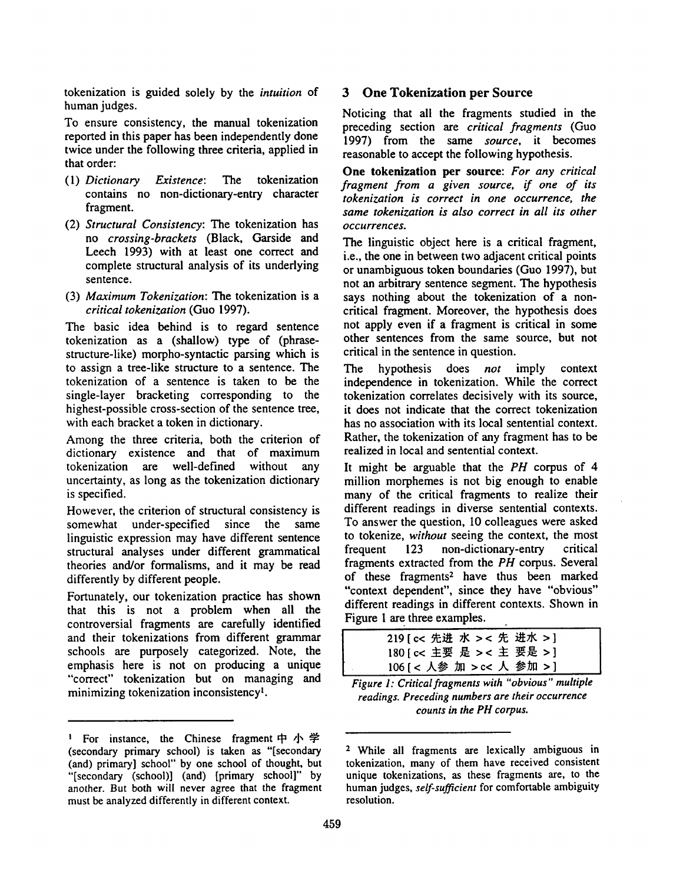tokenization is guided solely by the *intuition* of human judges.

To ensure consistency, the manual tokenization reported in this paper has been independently done twice under the following three criteria, applied in that order:

- (1) *Dictionary Existence: The* tokenization contains no non-dictionary-entry character fragment.
- (2) *Structural Consistency: The* tokenization has no *crossing-brackets* (Black, Garside and Leech 1993) with at least one correct and complete structural analysis of its underlying sentence.
- (3) *Maximum Tokenization: The* tokenization is a *critical tokenization* (Guo 1997).

The basic idea behind is to regard sentence tokenization as a (shallow) type of (phrasestructure-like) morpho-syntactic parsing which is to assign a tree-like structure to a sentence. The tokenization of a sentence is taken to be the single-layer bracketing corresponding to the highest-possible cross-section of the sentence tree, with each bracket a token in dictionary.

Among the three criteria, both the criterion of dictionary existence and that of maximum tokenization are well-defined without any uncertainty, as long as the tokenization dictionary is specified.

However, the criterion of structural consistency is somewhat under-specified since the same linguistic expression may have different sentence structural analyses under different grammatical theories and/or formalisms, and it may be read differently by different people.

Fortunately, our tokenization practice has shown that this is not a problem when all the controversial fragments are carefully identified and their tokenizations from different grammar schools are purposely categorized. Note, the emphasis here is not on producing a unique "correct" tokenization but on managing and minimizing tokenization inconsistency<sup>1</sup>.

#### **3 One Tokenization per Source**

Noticing that all the fragments studied in the preceding section are *critical fragments* (Guo 1997) from the same *source,* it becomes reasonable to accept the following hypothesis.

**One** tokenization per source: *For any critical fragment from a given source, if one of its tokenization is correct in one occurrence, the same tokenization is also correct in all its other occurrences.* 

The linguistic object here is a critical fragment, i.e., the one in between two adjacent critical points or unambiguous token boundaries (Guo 1997), but not an arbitrary sentence segment. The hypothesis says nothing about the tokenization of a noncritical fragment. Moreover, the hypothesis does not apply even if a fragment is critical in some other sentences from the same source, but not critical in the sentence in question.

The hypothesis does *not* imply context independence in tokenization. While the correct tokenization correlates decisively with its source, it does not indicate that the correct tokenization has no association with its local sentential context. Rather, the tokenization of any fragment has to be realized in local and sentential context.

It might be arguable that the *PH* corpus of 4 million morphemes is not big enough to enable many of the critical fragments to realize their different readings in diverse sentential contexts. To answer the question, I0 colleagues were asked to tokenize, *without* seeing the context, the most frequent 123 non-dictionary-entry critical fragments extracted from the *PH* corpus. Several of these fragments<sup>2</sup> have thus been marked "context dependent", since they have "obvious" different readings in different contexts. Shown in Figure 1 are three examples.

| 219 [ c< 先进 水 > < 先 进水 > ] |
|----------------------------|
| 180 [ c< 主要 是 > < 主 要是 > ] |
| 106 [ < 人参 加 > c< 人 参加 > ] |

*Figure 1: Critical fragments with "obvious" multiple readings. Preceding numbers are their occurrence counts in the PH corpus.* 

<sup>&</sup>lt;sup>1</sup> For instance, the Chinese fragment  $\uparrow \uparrow \uparrow \uparrow$ (secondary primary school) is taken as "[secondary (and) primary] school" by one school of thought, but "[secondary (school)] (and) [primary school]" by another. But both will never agree that the fragment must be analyzed differently in different context.

<sup>2</sup> While all fragments are lexically ambiguous in tokenization, many of them have received consistent unique tokenizations, as these fragments are, to the human judges, *self-sufficient* for comfortable ambiguity resolution.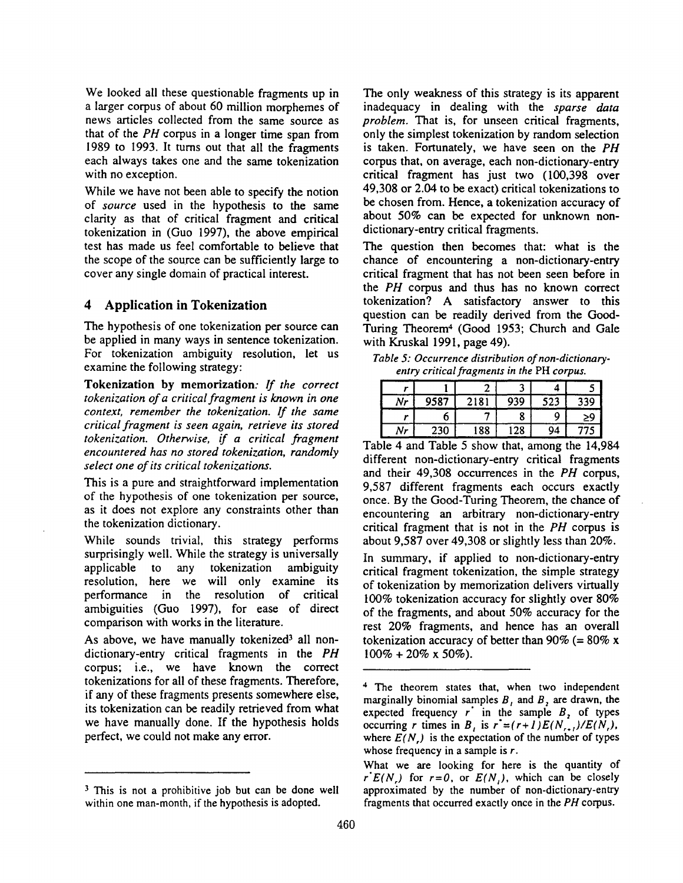We looked all these questionable fragments up in a larger corpus of about 60 million morphemes of news articles collected from the same source as that of the *PH* corpus in a longer time span from 1989 to 1993. It turns out that all the fragments each always takes one and the same tokenization with no exception.

While we have not been able to specify the notion of *source* used in the hypothesis to the same clarity as that of critical fragment and critical tokenization in (Guo 1997), the above empirical test has made us feel comfortable to believe that the scope of the source can be sufficiently large to cover any single domain of practical interest.

#### **4 Application in Tokenization**

The hypothesis of one tokenization per source can be applied in many ways in sentence tokenization. For tokenization ambiguity resolution, let us examine the following strategy:

Tokenization by memorization: *If the correct tokenization of a critical fragment is known in one context, remember the tokenization. If the same critical fragment is seen again, retrieve its stored tokenization. Otherwise, if a critical fragment encountered has no stored tokenization, randomly select one of its critical tokenizations.* 

This is a pure and straightforward implementation of the hypothesis of one tokenization per source, as it does not explore any constraints other than the tokenization dictionary.

While sounds trivial, this strategy performs surprisingly well. While the strategy is universally applicable to any tokenization ambiguity resolution, here we will only examine its performance in the resolution of critical ambiguities (Guo 1997), for ease of direct comparison with works in the literature.

As above, we have manually tokenized<sup>3</sup> all nondictionary-entry critical fragments in the *PH*  corpus; i.e., we have known the correct tokenizations for all of these fragments. Therefore, if any of these fragments presents somewhere else, its tokenization can be readily retrieved from what we have manually done. If the hypothesis holds perfect, we could not make any error.

The only weakness of this strategy is its apparent inadequacy in dealing with the *sparse data problem.* That is, for unseen critical fragments, only the simplest tokenization by random selection is taken. Fortunately, we have seen on the *PH*  corpus that, on average, each non-dictionary-entry critical fragment has just two (100,398 over 49,308 or 2.04 to be exact) critical tokenizations to be chosen from. Hence, a tokenization accuracy of about 50% can be expected for unknown nondictionary-entry critical fragments.

The question then becomes that: what is the chance of encountering a non-dictionary-entry critical fragment that has not been seen before in the *PH* corpus and thus has no known correct tokenization? A satisfactory answer to this question can be readily derived from the Good-Turing Theorem<sup>4</sup> (Good 1953; Church and Gale with Kruskal 1991, page 49).

*Table 5: Occurrence distribution of non-dictionaryentry critical fragments in the* PH *corpus.* 

| Nr | 9587 | 2181 | 939 | 523 | 339 |
|----|------|------|-----|-----|-----|
|    |      |      |     |     | 29  |
| Nr | 230  | 188  | .28 | 94  |     |

Table 4 and Table 5 show that, among the 14,984 different non-dictionary-entry critical fragments and their 49,308 occurrences in the *PH* corpus, 9,587 different fragments each occurs exactly once. By the Good-Turing Theorem, the chance of encountering an arbitrary non-dictionary-entry critical fragment that is not in the *PH* corpus is about 9,587 over 49,308 or slightly less than 20%.

In summary, if applied to non-dictionary-entry critical fragment tokenization, the simple strategy of tokenization by memorization delivers virtually 100% tokenization accuracy for slightly over 80% of the fragments, and about 50% accuracy for the rest 20% fragments, and hence has an overall tokenization accuracy of better than 90% (=  $80\%$  x  $100\% + 20\% \times 50\%$ ).

<sup>&</sup>lt;sup>3</sup> This is not a prohibitive job but can be done well within one man-month, if the hypothesis is adopted.

<sup>4</sup> The theorem states that, when two independent marginally binomial samples  $B$ , and  $B$ , are drawn, the expected frequency  $r$  in the sample  $B<sub>2</sub>$  of types occurring r times in B<sub>t</sub> is  $r'=(r+1)E(N_{r+1})/E(N_r)$ , where  $E(N)$  is the expectation of the number of types whose frequency in a sample is r.

What we are looking for here is the quantity of  $r^*E(N)$  for  $r=0$ , or  $E(N)$ , which can be closely approximated by the number of non-dictionary-entry fragments that occurred exactly once in the *PH* corpus.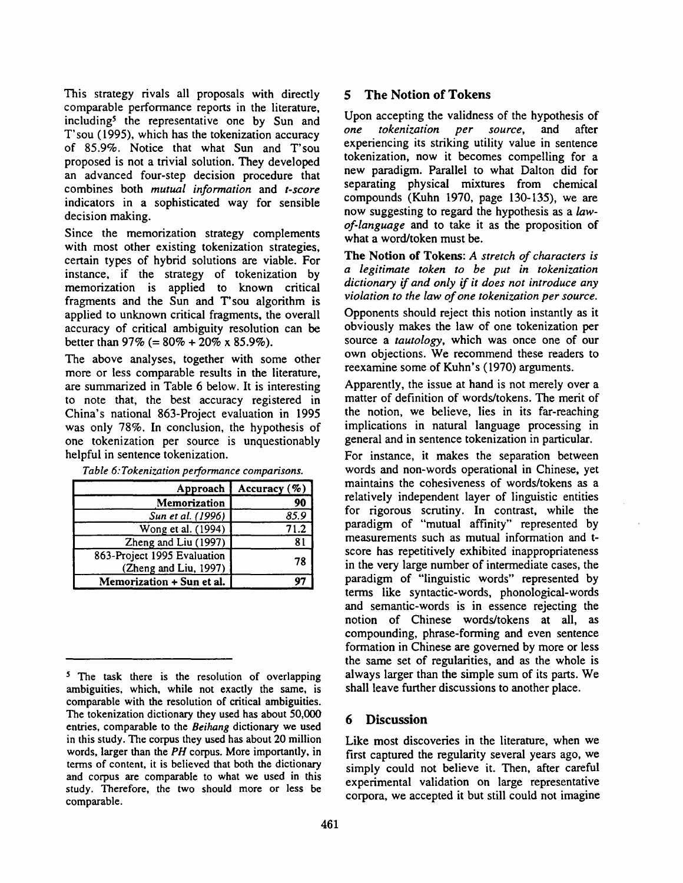This strategy rivals all proposals with directly comparable performance reports in the literature, including<sup>5</sup> the representative one by Sun and T'sou (1995), which has the tokenization accuracy of 85.9%. Notice that what Sun and T'sou proposed is not a trivial solution. They developed an advanced four-step decision procedure that combines both *mutual information* and *t-score*  indicators in a sophisticated way for sensible decision making.

Since the memorization strategy complements with most other existing tokenization strategies, certain types of hybrid solutions are viable. For instance, if the strategy of tokenization by memorization is applied to known critical fragments and the Sun and T'sou algorithm is applied to unknown critical fragments, the overall accuracy of critical ambiguity resolution can be better than  $97\%$  (=  $80\%$  + 20\% x 85.9\%).

The above analyses, together with some other more or less comparable results in the literature, are summarized in Table 6 below. It is interesting to note that, the best accuracy registered in China's national 863-Project evaluation in 1995 was only 78%. In conclusion, the hypothesis of one tokenization per source is unquestionably helpful in sentence tokenization.

| Approach                                             | Accuracy $(\% )$  |
|------------------------------------------------------|-------------------|
| Memorization                                         | 90                |
| Sun et al. (1996)                                    | 85.9              |
| Wong et al. (1994)                                   | $\overline{7}1.2$ |
| Zheng and Liu (1997)                                 | 81                |
| 863-Project 1995 Evaluation<br>(Zheng and Liu, 1997) | 78                |
| Memorization + Sun et al.                            |                   |

*Table 6: Tokenization performance comparisons.* 

5 The **Notion of** Tokens

Upon accepting the validness of the hypothesis of *one tokenization per source,* and after experiencing its striking utility value in sentence tokenization, now it becomes compelling for a new paradigm. Parallel to what Dalton did for separating physical mixtures from chemical compounds (Kuhn 1970, page 130-135), we are now suggesting to regard the hypothesis as a *lawof-language* and to take it as the proposition of what a word/token must be.

The Notion of Tokens: *A stretch of characters is a legitimate token to be put in tokenization dictionary if and only if it does not introduce any violation to the law of one tokenization per source.* 

Opponents should reject this notion instantly as it obviously makes the law of one tokenization per source a *tautology,* which was once one of our own objections. We recommend these readers to reexamine some of Kuhn's (1970) arguments.

Apparently, the issue at hand is not merely over a matter of definition of words/tokens. The merit of the notion, we believe, lies in its far-reaching implications in natural language processing in general and in sentence tokenization in particular.

For instance, it makes the separation between words and non-words operational in Chinese, yet maintains the cohesiveness of words/tokens as a relatively independent layer of linguistic entities for rigorous scrutiny. In contrast, while the paradigm of "mutual affinity" represented by measurements such as mutual information and tscore has repetitively exhibited inappropriateness in the very large number of intermediate cases, the paradigm of "linguistic words" represented by terms like syntactic-words, phonological-words and semantic-words is in essence rejecting the notion of Chinese words/tokens at all, as compounding, phrase-forming and even sentence formation in Chinese are governed by more or less the same set of regularities, and as the whole is always larger than the simple sum of its parts. We shall leave further discussions to another place.

#### **6 Discussion**

Like most discoveries in the literature, when we first captured the regularity several years ago, we simply could not believe it. Then, after careful experimental validation on large representative corpora, we accepted it but still could not imagine

<sup>&</sup>lt;sup>5</sup> The task there is the resolution of overlapping ambiguities, which, while not exactly the same, is comparable with the resolution of critical ambiguities. The tokenization dictionary they used has about 50,000 entries, comparable to the *Beihang* dictionary we used in this study. The corpus they used has about 20 million words, larger than the *PH* corpus. More importantly, in terms of content, it is believed that both the dictionary and corpus are comparable to what we used in this study. Therefore, the two should more or less be comparable.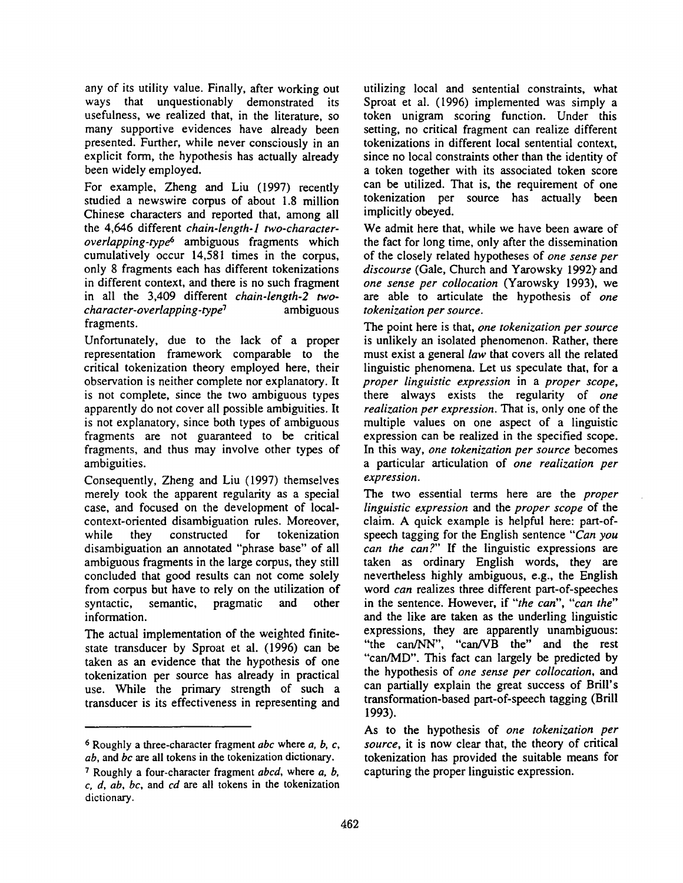any of its utility value. Finally, after working out ways that unquestionably demonstrated its usefulness, we realized that, in the literature, so many supportive evidences have already been presented. Further, while never consciously in an explicit form, the hypothesis has actually already been widely employed.

For example, Zheng and Liu (1997) recently studied a newswire corpus of about 1.8 million Chinese characters and reported that, among all the 4,646 different *chain-length-l two-characteroverlapping-typd s* ambiguous fragments which cumulatively occur 14,581 times in the corpus, only 8 fragments each has different tokenizations in different context, and there is no such fragment in all the 3,409 different *chain-length-2 twocharacter-overlapping-type 7* ambiguous fragments.

Unfortunately, due to the lack of a proper representation framework comparable to the critical tokenization theory employed here, their observation is neither complete nor explanatory. It is not complete, since the two ambiguous types apparently do not cover all possible ambiguities. It is not explanatory, since both types of ambiguous fragments are not guaranteed to be critical fragments, and thus may involve other types of ambiguities.

Consequently, Zheng and Liu (1997) themselves merely took the apparent regularity as a special case, and focused on the development of localcontext-oriented disambiguation rules. Moreover, while they constructed for tokenization disambiguation an annotated "phrase base" of all ambiguous fragments in the large corpus, they still concluded that good results can not come solely from corpus but have to rely on the utilization of syntactic, semantic, pragmatic and other information.

The actual implementation of the weighted finitestate transducer by Sproat et al. (1996) can be taken as an evidence that the hypothesis of one tokenization per source has already in practical use. While the primary strength of such a transducer is its effectiveness in representing and

utilizing local and sentential constraints, what Sproat et al. (1996) implemented was simply a token unigram scoring function. Under this setting, no critical fragment can realize different tokenizations in different local sentential context, since no local constraints other than the identity of a token together with its associated token score can be utilized. That is, the requirement of one tokenization per source has actually been implicitly obeyed.

We admit here that, while we have been aware of the fact for long time, only after the dissemination of the closely related hypotheses of *one sense per*  discourse (Gale, Church and Yarowsky 1992) and *one sense per collocation* (Yarowsky 1993), we are able to articulate the hypothesis of *one tokenization per source.* 

The point here is that, *one tokenization per source*  is unlikely an isolated phenomenon. Rather, there must exist a general *law* that covers all the related linguistic phenomena. Let us speculate that, for a *proper linguistic expression* in a *proper scope,*  there always exists the regularity of *one realization per expression.* That is, only one of the multiple values on one aspect of a linguistic expression can be realized in the specified scope. In this way, *one tokenization per source* becomes a particular articulation of *one realization per expression.* 

The two essential terms here are the *proper linguistic expression* and the *proper scope* of the claim. A quick example is helpful here: part-ofspeech tagging for the English sentence *"Can you can the can?"* If the linguistic expressions are taken as ordinary English words, they are nevertheless highly ambiguous, e.g., the English word *can* realizes three different part-of-speeches in the sentence. However, if *"the can", "can the"*  and the like are taken as the underling linguistic expressions, they are apparently unambiguous: "the can/NN", "can/VB the" and the rest "can/MD". This fact can largely be predicted by the hypothesis of *one sense per collocation, and*  can partially explain the great success of Brill's transformation-based part-of-speech tagging (Brill 1993).

As to the hypothesis of *one tokenization per source,* it is now clear that, the theory of critical tokenization has provided the suitable means for capturing the proper linguistic expression.

<sup>6</sup> Roughly a three-character fragment *abc* where *a, b, c, ab,* and *bc are* all tokens in the tokenization dictionary.

<sup>7</sup> Roughly a four-character fragment *abcd,* where a, b, *c, d, ab, bc,* and *cd are* all tokens in the tokenization dictionary.